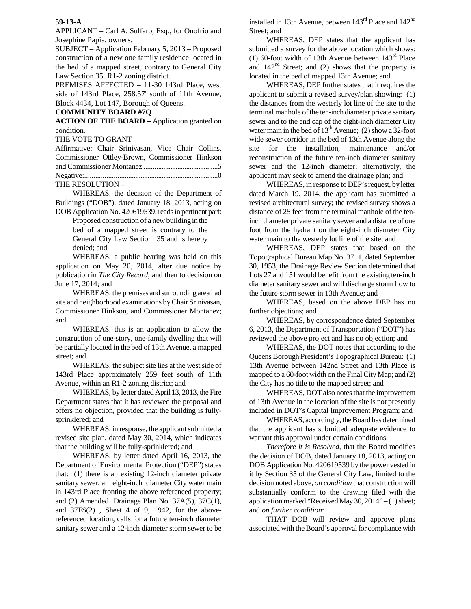## **59-13-A**

APPLICANT – Carl A. Sulfaro, Esq., for Onofrio and Josephine Papia, owners.

SUBJECT – Application February 5, 2013 – Proposed construction of a new one family residence located in the bed of a mapped street, contrary to General City Law Section 35. R1-2 zoning district.

PREMISES AFFECTED – 11-30 143rd Place, west side of 143rd Place, 258.57' south of 11th Avenue, Block 4434, Lot 147, Borough of Queens.

## **COMMUNITY BOARD #7Q**

**ACTION OF THE BOARD –** Application granted on condition.

THE VOTE TO GRANT –

| Affirmative: Chair Srinivasan, Vice Chair Collins, |  |  |  |
|----------------------------------------------------|--|--|--|
| Commissioner Ottley-Brown, Commissioner Hinkson    |  |  |  |
|                                                    |  |  |  |
|                                                    |  |  |  |
| THE RESOLUTION -                                   |  |  |  |

 WHEREAS, the decision of the Department of Buildings ("DOB"), dated January 18, 2013, acting on DOB Application No. 420619539, reads in pertinent part:

> Proposed construction of a new building in the bed of a mapped street is contrary to the General City Law Section 35 and is hereby denied; and

 WHEREAS, a public hearing was held on this application on May 20, 2014, after due notice by publication in *The City Record*, and then to decision on June 17, 2014; and

 WHEREAS, the premises and surrounding area had site and neighborhood examinations by Chair Srinivasan, Commissioner Hinkson, and Commissioner Montanez; and

 WHEREAS, this is an application to allow the construction of one-story, one-family dwelling that will be partially located in the bed of 13th Avenue, a mapped street; and

 WHEREAS, the subject site lies at the west side of 143rd Place approximately 259 feet south of 11th Avenue, within an R1-2 zoning district; and

 WHEREAS, by letter dated April 13, 2013, the Fire Department states that it has reviewed the proposal and offers no objection, provided that the building is fullysprinklered; and

 WHEREAS, in response, the applicant submitted a revised site plan, dated May 30, 2014, which indicates that the building will be fully-sprinklered; and

 WHEREAS, by letter dated April 16, 2013, the Department of Environmental Protection ("DEP") states that: (1) there is an existing 12-inch diameter private sanitary sewer, an eight-inch diameter City water main in 143rd Place fronting the above referenced property; and (2) Amended Drainage Plan No. 37A(5), 37C(1), and 37FS(2) , Sheet 4 of 9, 1942, for the abovereferenced location, calls for a future ten-inch diameter sanitary sewer and a 12-inch diameter storm sewer to be installed in 13th Avenue, between  $143<sup>rd</sup>$  Place and  $142<sup>nd</sup>$ Street; and

 WHEREAS, DEP states that the applicant has submitted a survey for the above location which shows: (1) 60-foot width of 13th Avenue between  $143<sup>rd</sup>$  Place and  $142<sup>nd</sup>$  Street; and (2) shows that the property is located in the bed of mapped 13th Avenue; and

 WHEREAS, DEP further states that it requires the applicant to submit a revised survey/plan showing: (1) the distances from the westerly lot line of the site to the terminal manhole of the ten-inch diameter private sanitary sewer and to the end cap of the eight-inch diameter City water main in the bed of  $13<sup>th</sup>$  Avenue; (2) show a 32-foot wide sewer corridor in the bed of 13th Avenue along the site for the installation, maintenance and/or reconstruction of the future ten-inch diameter sanitary sewer and the 12-inch diameter; alternatively, the applicant may seek to amend the drainage plan; and

 WHEREAS, in response to DEP's request, by letter dated March 19, 2014, the applicant has submitted a revised architectural survey; the revised survey shows a distance of 25 feet from the terminal manhole of the teninch diameter private sanitary sewer and a distance of one foot from the hydrant on the eight-inch diameter City water main to the westerly lot line of the site; and

 WHEREAS, DEP states that based on the Topographical Bureau Map No. 3711, dated September 30, 1953, the Drainage Review Section determined that Lots 27 and 151 would benefit from the existing ten-inch diameter sanitary sewer and will discharge storm flow to the future storm sewer in 13th Avenue; and

 WHEREAS, based on the above DEP has no further objections; and

 WHEREAS, by correspondence dated September 6, 2013, the Department of Transportation ("DOT") has reviewed the above project and has no objection; and

 WHEREAS, the DOT notes that according to the Queens Borough President's Topographical Bureau: (1) 13th Avenue between 142nd Street and 13th Place is mapped to a 60-foot width on the Final City Map; and (2) the City has no title to the mapped street; and

 WHEREAS, DOT also notes that the improvement of 13th Avenue in the location of the site is not presently included in DOT's Capital Improvement Program; and

 WHEREAS, accordingly, the Board has determined that the applicant has submitted adequate evidence to warrant this approval under certain conditions.

*Therefore it is Resolved,* that the Board modifies the decision of DOB, dated January 18, 2013, acting on DOB Application No. 420619539 by the power vested in it by Section 35 of the General City Law, limited to the decision noted above, *on condition* that construction will substantially conform to the drawing filed with the application marked "Received May 30, 2014" – (1) sheet; and *on further condition*:

 THAT DOB will review and approve plans associated with the Board's approval for compliance with